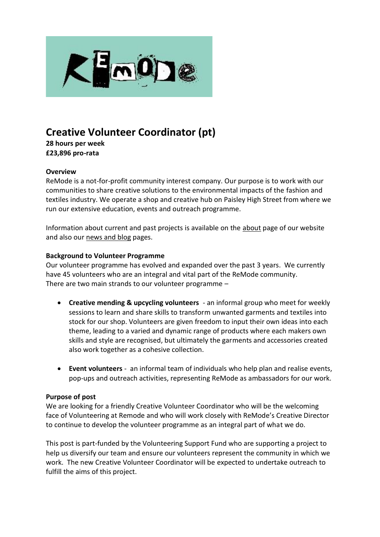

# **Creative Volunteer Coordinator (pt)**

**28 hours per week £23,896 pro-rata**

#### **Overview**

ReMode is a not-for-profit community interest company. Our purpose is to work with our communities to share creative solutions to the environmental impacts of the fashion and textiles industry. We operate a shop and creative hub on Paisley High Street from where we run our extensive education, events and outreach programme.

Information about current and past projects is available on the [about](https://remodeyouth.org/about/) page of our website and also our [news and blog](https://remodeyouth.org/news/) pages.

#### **Background to Volunteer Programme**

Our volunteer programme has evolved and expanded over the past 3 years. We currently have 45 volunteers who are an integral and vital part of the ReMode community. There are two main strands to our volunteer programme –

- **Creative mending & upcycling volunteers** an informal group who meet for weekly sessions to learn and share skills to transform unwanted garments and textiles into stock for our shop. Volunteers are given freedom to input their own ideas into each theme, leading to a varied and dynamic range of products where each makers own skills and style are recognised, but ultimately the garments and accessories created also work together as a cohesive collection.
- **Event volunteers** an informal team of individuals who help plan and realise events, pop-ups and outreach activities, representing ReMode as ambassadors for our work.

### **Purpose of post**

We are looking for a friendly Creative Volunteer Coordinator who will be the welcoming face of Volunteering at Remode and who will work closely with ReMode's Creative Director to continue to develop the volunteer programme as an integral part of what we do.

This post is part-funded by the Volunteering Support Fund who are supporting a project to help us diversify our team and ensure our volunteers represent the community in which we work. The new Creative Volunteer Coordinator will be expected to undertake outreach to fulfill the aims of this project.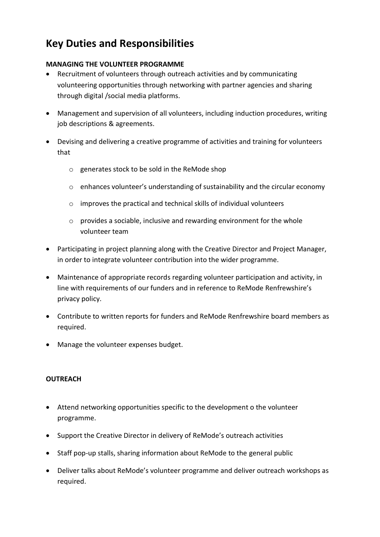# **Key Duties and Responsibilities**

## **MANAGING THE VOLUNTEER PROGRAMME**

- Recruitment of volunteers through outreach activities and by communicating volunteering opportunities through networking with partner agencies and sharing through digital /social media platforms.
- Management and supervision of all volunteers, including induction procedures, writing job descriptions & agreements.
- Devising and delivering a creative programme of activities and training for volunteers that
	- o generates stock to be sold in the ReMode shop
	- o enhances volunteer's understanding of sustainability and the circular economy
	- o improves the practical and technical skills of individual volunteers
	- o provides a sociable, inclusive and rewarding environment for the whole volunteer team
- Participating in project planning along with the Creative Director and Project Manager, in order to integrate volunteer contribution into the wider programme.
- Maintenance of appropriate records regarding volunteer participation and activity, in line with requirements of our funders and in reference to ReMode Renfrewshire's privacy policy.
- Contribute to written reports for funders and ReMode Renfrewshire board members as required.
- Manage the volunteer expenses budget.

### **OUTREACH**

- Attend networking opportunities specific to the development o the volunteer programme.
- Support the Creative Director in delivery of ReMode's outreach activities
- Staff pop-up stalls, sharing information about ReMode to the general public
- Deliver talks about ReMode's volunteer programme and deliver outreach workshops as required.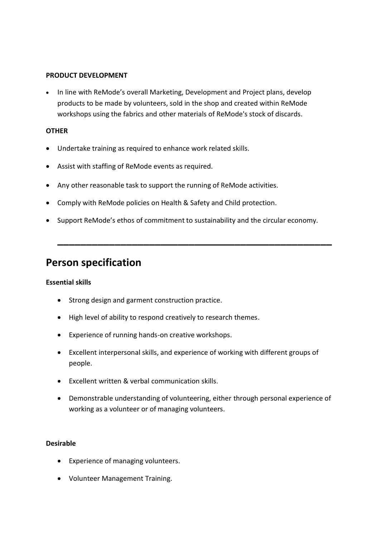#### **PRODUCT DEVELOPMENT**

• In line with ReMode's overall Marketing, Development and Project plans, develop products to be made by volunteers, sold in the shop and created within ReMode workshops using the fabrics and other materials of ReMode's stock of discards.

#### **OTHER**

- Undertake training as required to enhance work related skills.
- Assist with staffing of ReMode events as required.
- Any other reasonable task to support the running of ReMode activities.
- Comply with ReMode policies on Health & Safety and Child protection.
- Support ReMode's ethos of commitment to sustainability and the circular economy.

**\_\_\_\_\_\_\_\_\_\_\_\_\_\_\_\_\_\_\_\_\_\_\_\_\_\_\_\_\_\_\_\_\_\_\_\_\_\_\_\_\_\_\_\_\_\_\_\_**

# **Person specification**

#### **Essential skills**

- Strong design and garment construction practice.
- High level of ability to respond creatively to research themes.
- Experience of running hands-on creative workshops.
- Excellent interpersonal skills, and experience of working with different groups of people.
- Excellent written & verbal communication skills.
- Demonstrable understanding of volunteering, either through personal experience of working as a volunteer or of managing volunteers.

#### **Desirable**

- Experience of managing volunteers.
- Volunteer Management Training.